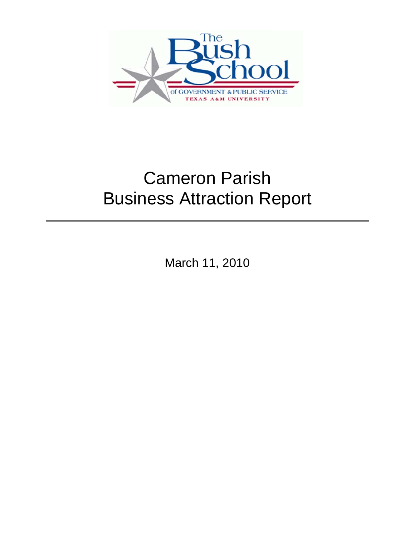

# **Business Attraction Report** Cameron Parish

March 11, 2010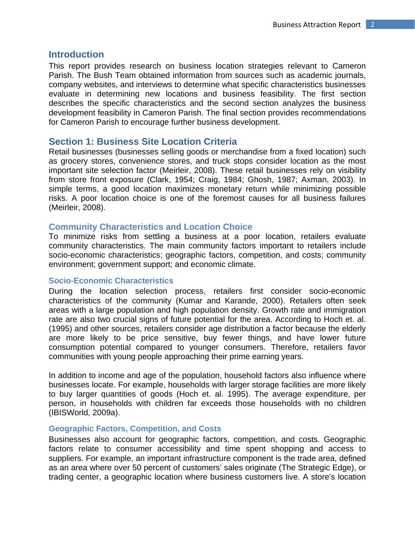## **Introduction**

This report provides research on business location strategies relevant to Cameron Parish. The Bush Team obtained information from sources such as academic journals, company websites, and interviews to determine what specific characteristics businesses evaluate in determining new locations and business feasibility. The first section describes the specific characteristics and the second section analyzes the business development feasibility in Cameron Parish. The final section provides recommendations for Cameron Parish to encourage further business development.

# **Section 1: Business Site Location Criteria**

Retail businesses (businesses selling goods or merchandise from a fixed location) such as grocery stores, convenience stores, and truck stops consider location as the most important site selection factor (Meirleir, 2008). These retail businesses rely on visibility from store front exposure (Clark, 1954; Craig, 1984; Ghosh, 1987; Axman, 2003). In simple terms, a good location maximizes monetary return while minimizing possible risks. A poor location choice is one of the foremost causes for all business failures (Meirleir, 2008).

# **Community Characteristics and Location Choice**

To minimize risks from settling a business at a poor location, retailers evaluate community characteristics. The main community factors important to retailers include socio-economic characteristics; geographic factors, competition, and costs; community environment; government support; and economic climate.

## **Socio-Economic Characteristics**

During the location selection process, retailers first consider socio-economic characteristics of the community (Kumar and Karande, 2000). Retailers often seek areas with a large population and high population density. Growth rate and immigration rate are also two crucial signs of future potential for the area. According to Hoch et. al. (1995) and other sources, retailers consider age distribution a factor because the elderly are more likely to be price sensitive, buy fewer things, and have lower future consumption potential compared to younger consumers. Therefore, retailers favor communities with young people approaching their prime earning years.

In addition to income and age of the population, household factors also influence where businesses locate. For example, households with larger storage facilities are more likely to buy larger quantities of goods (Hoch et. al. 1995). The average expenditure, per person, in households with children far exceeds those households with no children (IBISWorld, 2009a).

## **Geographic Factors, Competition, and Costs**

Businesses also account for geographic factors, competition, and costs. Geographic factors relate to consumer accessibility and time spent shopping and access to suppliers. For example, an important infrastructure component is the trade area, defined as an area where over 50 percent of customers' sales originate (The Strategic Edge), or trading center, a geographic location where business customers live. A store's location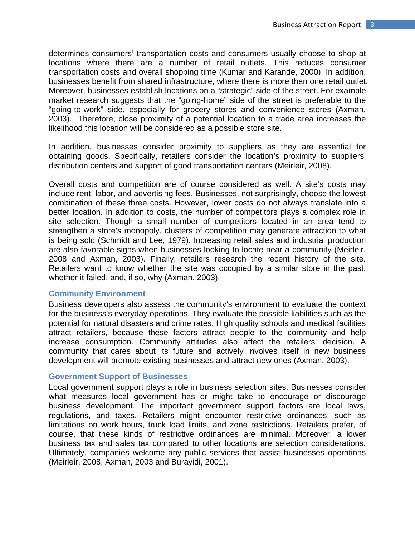determines consumers' transportation costs and consumers usually choose to shop at locations where there are a number of retail outlets. This reduces consumer transportation costs and overall shopping time (Kumar and Karande, 2000). In addition, businesses benefit from shared infrastructure, where there is more than one retail outlet. Moreover, businesses establish locations on a "strategic" side of the street. For example, market research suggests that the "going-home" side of the street is preferable to the "going-to-work" side, especially for grocery stores and convenience stores (Axman, 2003). Therefore, close proximity of a potential location to a trade area increases the likelihood this location will be considered as a possible store site.

In addition, businesses consider proximity to suppliers as they are essential for obtaining goods. Specifically, retailers consider the location's proximity to suppliers' distribution centers and support of good transportation centers (Meirleir, 2008).

Overall costs and competition are of course considered as well. A site's costs may include rent, labor, and advertising fees. Businesses, not surprisingly, choose the lowest combination of these three costs. However, lower costs do not always translate into a better location. In addition to costs, the number of competitors plays a complex role in site selection. Though a small number of competitors located in an area tend to strengthen a store's monopoly, clusters of competition may generate attraction to what is being sold (Schmidt and Lee, 1979). Increasing retail sales and industrial production are also favorable signs when businesses looking to locate near a community (Meirleir, 2008 and Axman, 2003). Finally, retailers research the recent history of the site. Retailers want to know whether the site was occupied by a similar store in the past, whether it failed, and, if so, why (Axman, 2003).

#### **Community Environment**

Business developers also assess the community's environment to evaluate the context for the business's everyday operations. They evaluate the possible liabilities such as the potential for natural disasters and crime rates. High quality schools and medical facilities attract retailers, because these factors attract people to the community and help increase consumption. Community attitudes also affect the retailers' decision. A community that cares about its future and actively involves itself in new business development will promote existing businesses and attract new ones (Axman, 2003).

## **Government Support of Businesses**

Local government support plays a role in business selection sites. Businesses consider what measures local government has or might take to encourage or discourage business development. The important government support factors are local laws, regulations, and taxes. Retailers might encounter restrictive ordinances, such as limitations on work hours, truck load limits, and zone restrictions. Retailers prefer, of course, that these kinds of restrictive ordinances are minimal. Moreover, a lower business tax and sales tax compared to other locations are selection considerations. Ultimately, companies welcome any public services that assist businesses operations (Meirleir, 2008, Axman, 2003 and Burayidi, 2001).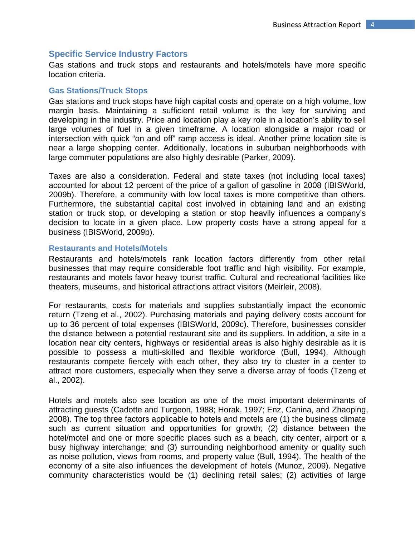# **Specific Service Industry Factors**

Gas stations and truck stops and restaurants and hotels/motels have more specific location criteria.

## **Gas Stations/Truck Stops**

Gas stations and truck stops have high capital costs and operate on a high volume, low margin basis. Maintaining a sufficient retail volume is the key for surviving and developing in the industry. Price and location play a key role in a location's ability to sell large volumes of fuel in a given timeframe. A location alongside a major road or intersection with quick "on and off" ramp access is ideal. Another prime location site is near a large shopping center. Additionally, locations in suburban neighborhoods with large commuter populations are also highly desirable (Parker, 2009).

Taxes are also a consideration. Federal and state taxes (not including local taxes) accounted for about 12 percent of the price of a gallon of gasoline in 2008 (IBISWorld, 2009b). Therefore, a community with low local taxes is more competitive than others. Furthermore, the substantial capital cost involved in obtaining land and an existing station or truck stop, or developing a station or stop heavily influences a company's decision to locate in a given place. Low property costs have a strong appeal for a business (IBISWorld, 2009b).

#### **Restaurants and Hotels/Motels**

Restaurants and hotels/motels rank location factors differently from other retail businesses that may require considerable foot traffic and high visibility. For example, restaurants and motels favor heavy tourist traffic. Cultural and recreational facilities like theaters, museums, and historical attractions attract visitors (Meirleir, 2008).

For restaurants, costs for materials and supplies substantially impact the economic return (Tzeng et al., 2002). Purchasing materials and paying delivery costs account for up to 36 percent of total expenses (IBISWorld, 2009c). Therefore, businesses consider the distance between a potential restaurant site and its suppliers. In addition, a site in a location near city centers, highways or residential areas is also highly desirable as it is possible to possess a multi-skilled and flexible workforce (Bull, 1994). Although restaurants compete fiercely with each other, they also try to cluster in a center to attract more customers, especially when they serve a diverse array of foods (Tzeng et al., 2002).

Hotels and motels also see location as one of the most important determinants of attracting guests (Cadotte and Turgeon, 1988; Horak, 1997; Enz, Canina, and Zhaoping, 2008). The top three factors applicable to hotels and motels are (1) the business climate such as current situation and opportunities for growth; (2) distance between the hotel/motel and one or more specific places such as a beach, city center, airport or a busy highway interchange; and (3) surrounding neighborhood amenity or quality such as noise pollution, views from rooms, and property value (Bull, 1994). The health of the economy of a site also influences the development of hotels (Munoz, 2009). Negative community characteristics would be (1) declining retail sales; (2) activities of large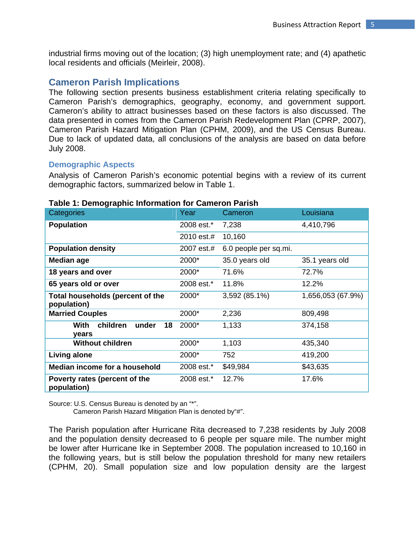industrial firms moving out of the location; (3) high unemployment rate; and (4) apathetic local residents and officials (Meirleir, 2008).

# **Cameron Parish Implications**

The following section presents business establishment criteria relating specifically to Cameron Parish's demographics, geography, economy, and government support. Cameron's ability to attract businesses based on these factors is also discussed. The data presented in comes from the Cameron Parish Redevelopment Plan (CPRP, 2007), Cameron Parish Hazard Mitigation Plan (CPHM, 2009), and the US Census Bureau. Due to lack of updated data, all conclusions of the analysis are based on data before July 2008.

## **Demographic Aspects**

Analysis of Cameron Parish's economic potential begins with a review of its current demographic factors, summarized below in Table 1.

| Categories                                      | Year       | Cameron               | Louisiana         |
|-------------------------------------------------|------------|-----------------------|-------------------|
| <b>Population</b>                               | 2008 est.* | 7,238                 | 4,410,796         |
|                                                 | 2010 est.# | 10,160                |                   |
| <b>Population density</b>                       | 2007 est.# | 6.0 people per sq.mi. |                   |
| Median age                                      | 2000*      | 35.0 years old        | 35.1 years old    |
| 18 years and over                               | 2000*      | 71.6%                 | 72.7%             |
| 65 years old or over                            | 2008 est.* | 11.8%                 | 12.2%             |
| Total households (percent of the<br>population) | 2000*      | 3,592 (85.1%)         | 1,656,053 (67.9%) |
| <b>Married Couples</b>                          | 2000*      | 2,236                 | 809,498           |
| children<br>With<br>under<br>18<br>years        | 2000*      | 1,133                 | 374,158           |
| <b>Without children</b>                         | 2000*      | 1,103                 | 435,340           |
| Living alone                                    | 2000*      | 752                   | 419,200           |
| Median income for a household                   | 2008 est.* | \$49,984              | \$43,635          |
| Poverty rates (percent of the<br>population)    | 2008 est.* | 12.7%                 | 17.6%             |

## **Table 1: Demographic Information for Cameron Parish**

Source: U.S. Census Bureau is denoted by an "\*".

Cameron Parish Hazard Mitigation Plan is denoted by"#".

The Parish population after Hurricane Rita decreased to 7,238 residents by July 2008 and the population density decreased to 6 people per square mile. The number might be lower after Hurricane Ike in September 2008. The population increased to 10,160 in the following years, but is still below the population threshold for many new retailers (CPHM, 20). Small population size and low population density are the largest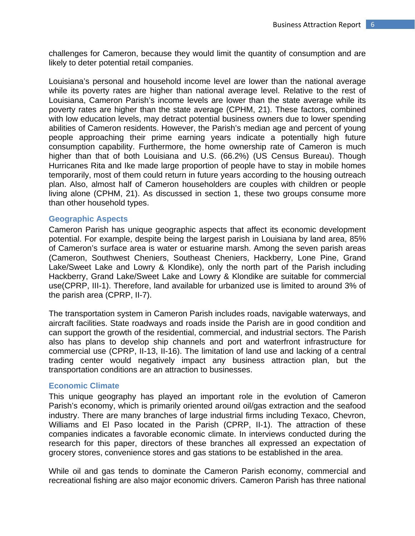challenges for Cameron, because they would limit the quantity of consumption and are likely to deter potential retail companies.

Louisiana's personal and household income level are lower than the national average while its poverty rates are higher than national average level. Relative to the rest of Louisiana, Cameron Parish's income levels are lower than the state average while its poverty rates are higher than the state average (CPHM, 21). These factors, combined with low education levels, may detract potential business owners due to lower spending abilities of Cameron residents. However, the Parish's median age and percent of young people approaching their prime earning years indicate a potentially high future consumption capability. Furthermore, the home ownership rate of Cameron is much higher than that of both Louisiana and U.S. (66.2%) (US Census Bureau). Though Hurricanes Rita and Ike made large proportion of people have to stay in mobile homes temporarily, most of them could return in future years according to the housing outreach plan. Also, almost half of Cameron householders are couples with children or people living alone (CPHM, 21). As discussed in section 1, these two groups consume more than other household types.

#### **Geographic Aspects**

Cameron Parish has unique geographic aspects that affect its economic development potential. For example, despite being the largest parish in Louisiana by land area, 85% of Cameron's surface area is water or estuarine marsh. Among the seven parish areas (Cameron, Southwest Cheniers, Southeast Cheniers, Hackberry, Lone Pine, Grand Lake/Sweet Lake and Lowry & Klondike), only the north part of the Parish including Hackberry, Grand Lake/Sweet Lake and Lowry & Klondike are suitable for commercial use(CPRP, III-1). Therefore, land available for urbanized use is limited to around 3% of the parish area (CPRP, II-7).

The transportation system in Cameron Parish includes roads, navigable waterways, and aircraft facilities. State roadways and roads inside the Parish are in good condition and can support the growth of the residential, commercial, and industrial sectors. The Parish also has plans to develop ship channels and port and waterfront infrastructure for commercial use (CPRP, II-13, II-16). The limitation of land use and lacking of a central trading center would negatively impact any business attraction plan, but the transportation conditions are an attraction to businesses.

#### **Economic Climate**

This unique geography has played an important role in the evolution of Cameron Parish's economy, which is primarily oriented around oil/gas extraction and the seafood industry. There are many branches of large industrial firms including Texaco, Chevron, Williams and El Paso located in the Parish (CPRP, II-1). The attraction of these companies indicates a favorable economic climate. In interviews conducted during the research for this paper, directors of these branches all expressed an expectation of grocery stores, convenience stores and gas stations to be established in the area.

While oil and gas tends to dominate the Cameron Parish economy, commercial and recreational fishing are also major economic drivers. Cameron Parish has three national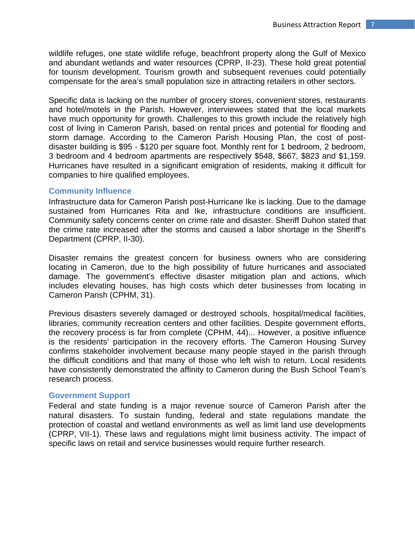wildlife refuges, one state wildlife refuge, beachfront property along the Gulf of Mexico and abundant wetlands and water resources (CPRP, II-23). These hold great potential for tourism development. Tourism growth and subsequent revenues could potentially compensate for the area's small population size in attracting retailers in other sectors.

Specific data is lacking on the number of grocery stores, convenient stores, restaurants and hotel/motels in the Parish. However, interviewees stated that the local markets have much opportunity for growth. Challenges to this growth include the relatively high cost of living in Cameron Parish, based on rental prices and potential for flooding and storm damage. According to the Cameron Parish Housing Plan, the cost of postdisaster building is \$95 - \$120 per square foot. Monthly rent for 1 bedroom, 2 bedroom, 3 bedroom and 4 bedroom apartments are respectively \$548, \$667, \$823 and \$1,159. Hurricanes have resulted in a significant emigration of residents, making it difficult for companies to hire qualified employees.

#### **Community Influence**

Infrastructure data for Cameron Parish post-Hurricane Ike is lacking. Due to the damage sustained from Hurricanes Rita and Ike, infrastructure conditions are insufficient. Community safety concerns center on crime rate and disaster. Sheriff Duhon stated that the crime rate increased after the storms and caused a labor shortage in the Sheriff's Department (CPRP, II-30).

Disaster remains the greatest concern for business owners who are considering locating in Cameron, due to the high possibility of future hurricanes and associated damage. The government's effective disaster mitigation plan and actions, which includes elevating houses, has high costs which deter businesses from locating in Cameron Parish (CPHM, 31).

Previous disasters severely damaged or destroyed schools, hospital/medical facilities, libraries, community recreation centers and other facilities. Despite government efforts, the recovery process is far from complete (CPHM, 44)... However, a positive influence is the residents' participation in the recovery efforts. The Cameron Housing Survey confirms stakeholder involvement because many people stayed in the parish through the difficult conditions and that many of those who left wish to return. Local residents have consistently demonstrated the affinity to Cameron during the Bush School Team's research process.

## **Government Support**

Federal and state funding is a major revenue source of Cameron Parish after the natural disasters. To sustain funding, federal and state regulations mandate the protection of coastal and wetland environments as well as limit land use developments (CPRP, VII-1). These laws and regulations might limit business activity. The impact of specific laws on retail and service businesses would require further research.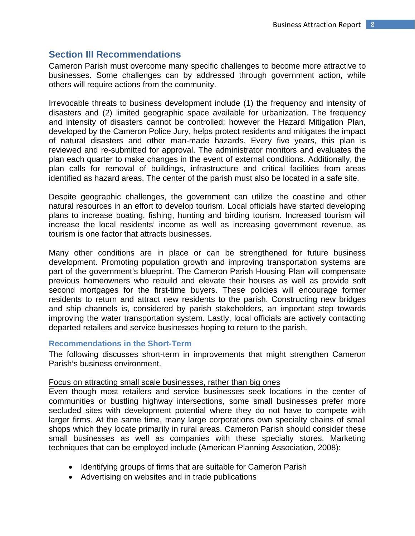# **Section III Recommendations**

Cameron Parish must overcome many specific challenges to become more attractive to businesses. Some challenges can by addressed through government action, while others will require actions from the community.

Irrevocable threats to business development include (1) the frequency and intensity of disasters and (2) limited geographic space available for urbanization. The frequency and intensity of disasters cannot be controlled; however the Hazard Mitigation Plan, developed by the Cameron Police Jury, helps protect residents and mitigates the impact of natural disasters and other man-made hazards. Every five years, this plan is reviewed and re-submitted for approval. The administrator monitors and evaluates the plan each quarter to make changes in the event of external conditions. Additionally, the plan calls for removal of buildings, infrastructure and critical facilities from areas identified as hazard areas. The center of the parish must also be located in a safe site.

Despite geographic challenges, the government can utilize the coastline and other natural resources in an effort to develop tourism. Local officials have started developing plans to increase boating, fishing, hunting and birding tourism. Increased tourism will increase the local residents' income as well as increasing government revenue, as tourism is one factor that attracts businesses.

Many other conditions are in place or can be strengthened for future business development. Promoting population growth and improving transportation systems are part of the government's blueprint. The Cameron Parish Housing Plan will compensate previous homeowners who rebuild and elevate their houses as well as provide soft second mortgages for the first-time buyers. These policies will encourage former residents to return and attract new residents to the parish. Constructing new bridges and ship channels is, considered by parish stakeholders, an important step towards improving the water transportation system. Lastly, local officials are actively contacting departed retailers and service businesses hoping to return to the parish.

# **Recommendations in the Short-Term**

The following discusses short-term in improvements that might strengthen Cameron Parish's business environment.

## Focus on attracting small scale businesses, rather than big ones

Even though most retailers and service businesses seek locations in the center of communities or bustling highway intersections, some small businesses prefer more secluded sites with development potential where they do not have to compete with larger firms. At the same time, many large corporations own specialty chains of small shops which they locate primarily in rural areas. Cameron Parish should consider these small businesses as well as companies with these specialty stores. Marketing techniques that can be employed include (American Planning Association, 2008):

- Identifying groups of firms that are suitable for Cameron Parish
- Advertising on websites and in trade publications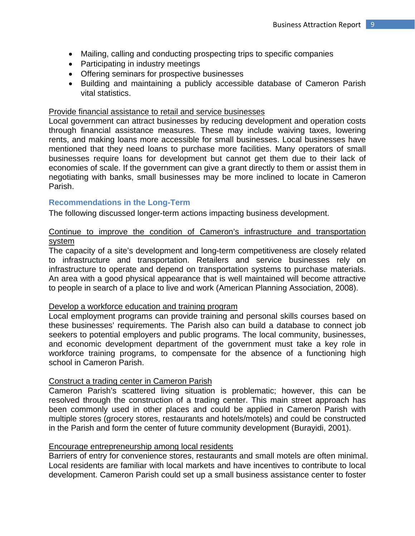- Mailing, calling and conducting prospecting trips to specific companies
- Participating in industry meetings
- Offering seminars for prospective businesses
- Building and maintaining a publicly accessible database of Cameron Parish vital statistics.

## Provide financial assistance to retail and service businesses

Local government can attract businesses by reducing development and operation costs through financial assistance measures. These may include waiving taxes, lowering rents, and making loans more accessible for small businesses. Local businesses have mentioned that they need loans to purchase more facilities. Many operators of small businesses require loans for development but cannot get them due to their lack of economies of scale. If the government can give a grant directly to them or assist them in negotiating with banks, small businesses may be more inclined to locate in Cameron Parish.

## **Recommendations in the Long-Term**

The following discussed longer-term actions impacting business development.

# Continue to improve the condition of Cameron's infrastructure and transportation system

The capacity of a site's development and long-term competitiveness are closely related to infrastructure and transportation. Retailers and service businesses rely on infrastructure to operate and depend on transportation systems to purchase materials. An area with a good physical appearance that is well maintained will become attractive to people in search of a place to live and work (American Planning Association, 2008).

## Develop a workforce education and training program

Local employment programs can provide training and personal skills courses based on these businesses' requirements. The Parish also can build a database to connect job seekers to potential employers and public programs. The local community, businesses, and economic development department of the government must take a key role in workforce training programs, to compensate for the absence of a functioning high school in Cameron Parish.

# Construct a trading center in Cameron Parish

Cameron Parish's scattered living situation is problematic; however, this can be resolved through the construction of a trading center. This main street approach has been commonly used in other places and could be applied in Cameron Parish with multiple stores (grocery stores, restaurants and hotels/motels) and could be constructed in the Parish and form the center of future community development (Burayidi, 2001).

## Encourage entrepreneurship among local residents

Barriers of entry for convenience stores, restaurants and small motels are often minimal. Local residents are familiar with local markets and have incentives to contribute to local development. Cameron Parish could set up a small business assistance center to foster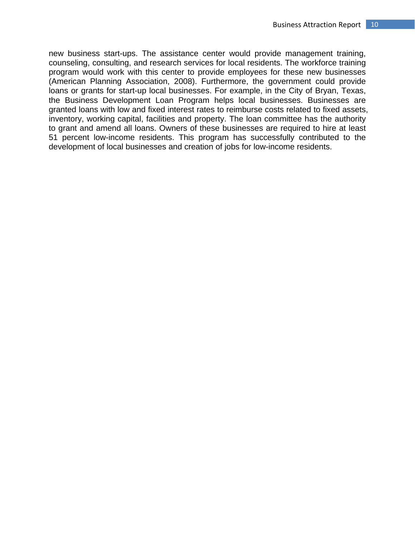new business start-ups. The assistance center would provide management training, counseling, consulting, and research services for local residents. The workforce training program would work with this center to provide employees for these new businesses (American Planning Association, 2008). Furthermore, the government could provide loans or grants for start-up local businesses. For example, in the City of Bryan, Texas, the Business Development Loan Program helps local businesses. Businesses are granted loans with low and fixed interest rates to reimburse costs related to fixed assets, inventory, working capital, facilities and property. The loan committee has the authority to grant and amend all loans. Owners of these businesses are required to hire at least 51 percent low-income residents. This program has successfully contributed to the development of local businesses and creation of jobs for low-income residents.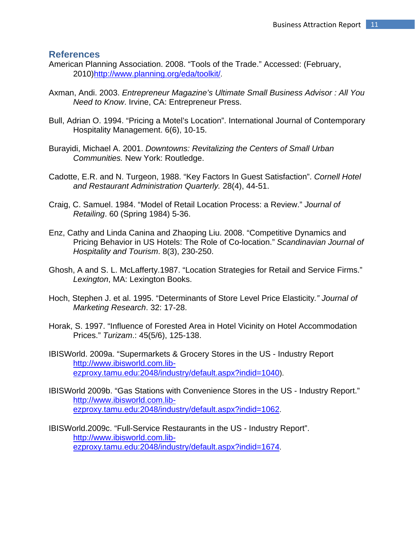# **References**

- American Planning Association. 2008. "Tools of the Trade." Accessed: (February, 2010)http://www.planning.org/eda/toolkit/.
- Axman, Andi. 2003. *Entrepreneur Magazine's Ultimate Small Business Advisor : All You Need to Know*. Irvine, CA: Entrepreneur Press.
- Bull, Adrian O. 1994. "Pricing a Motel's Location". International Journal of Contemporary Hospitality Management. 6(6), 10-15.
- Burayidi, Michael A. 2001. *Downtowns: Revitalizing the Centers of Small Urban Communities.* New York: Routledge.
- Cadotte, E.R. and N. Turgeon, 1988. "Key Factors In Guest Satisfaction". *Cornell Hotel and Restaurant Administration Quarterly.* 28(4), 44-51.
- Craig, C. Samuel. 1984. "Model of Retail Location Process: a Review." *Journal of Retailing*. 60 (Spring 1984) 5-36.
- Enz, Cathy and Linda Canina and Zhaoping Liu. 2008. "Competitive Dynamics and Pricing Behavior in US Hotels: The Role of Co-location." *Scandinavian Journal of Hospitality and Tourism*. 8(3), 230-250.
- Ghosh, A and S. L. McLafferty.1987. "Location Strategies for Retail and Service Firms." *Lexington*, MA: Lexington Books.
- Hoch, Stephen J. et al. 1995. "Determinants of Store Level Price Elasticity*." Journal of Marketing Research*. 32: 17-28.
- Horak, S. 1997. "Influence of Forested Area in Hotel Vicinity on Hotel Accommodation Prices." *Turizam*.: 45(5/6), 125-138.
- IBISWorld. 2009a. "Supermarkets & Grocery Stores in the US Industry Report http://www.ibisworld.com.libezproxy.tamu.edu:2048/industry/default.aspx?indid=1040).
- IBISWorld 2009b. "Gas Stations with Convenience Stores in the US Industry Report." http://www.ibisworld.com.libezproxy.tamu.edu:2048/industry/default.aspx?indid=1062.
- IBISWorld.2009c. "Full-Service Restaurants in the US Industry Report". http://www.ibisworld.com.libezproxy.tamu.edu:2048/industry/default.aspx?indid=1674.